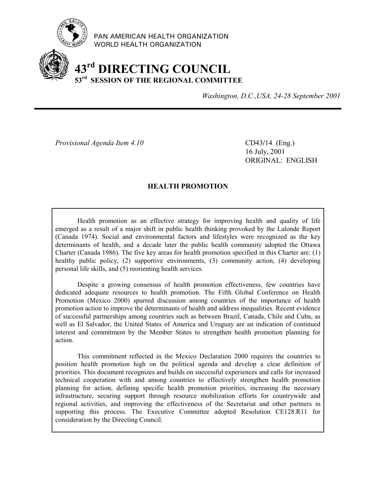

PAN AMERICAN HEALTH ORGANIZATION WORLD HEALTH ORGANIZATION

# **43rd DIRECTING COUNCIL 53rd SESSION OF THE REGIONAL COMMITTEE**

*Washington, D.C.,USA, 24-28 September 2001*

*Provisional Agenda Item 4.10* CD43**/**14 (Eng.)

16 July, 2001 ORIGINAL: ENGLISH

## **HEALTH PROMOTION**

Health promotion as an effective strategy for improving health and quality of life emerged as a result of a major shift in public health thinking provoked by the Lalonde Report (Canada 1974). Social and environmental factors and lifestyles were recognized as the key determinants of health, and a decade later the public health community adopted the Ottawa Charter (Canada 1986). The five key areas for health promotion specified in this Charter are: (1) healthy public policy, (2) supportive environments, (3) community action, (4) developing personal life skills, and (5) reorienting health services.

Despite a growing consensus of health promotion effectiveness, few countries have dedicated adequate resources to health promotion. The Fifth Global Conference on Health Promotion (Mexico 2000) spurred discussion among countries of the importance of health promotion action to improve the determinants of health and address inequalities. Recent evidence of successful partnerships among countries such as between Brazil, Canada, Chile and Cuba, as well as El Salvador, the United States of America and Uruguay are an indication of continued interest and commitment by the Member States to strengthen health promotion planning for action.

This commitment reflected in the Mexico Declaration 2000 requires the countries to position health promotion high on the political agenda and develop a clear definition of priorities. This document recognizes and builds on successful experiences and calls for increased technical cooperation with and among countries to effectively strengthen health promotion planning for action, defining specific health promotion priorities, increasing the necessary infrastructure, securing support through resource mobilization efforts for countrywide and regional activities, and improving the effectiveness of the Secretariat and other partners in supporting this process. The Executive Committee adopted Resolution CE128.R11 for consideration by the Directing Council.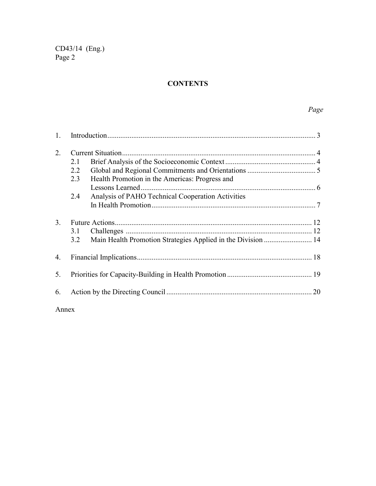# **CONTENTS**

| 2. |     |                                                              |  |  |
|----|-----|--------------------------------------------------------------|--|--|
|    | 2.1 |                                                              |  |  |
|    | 2.2 |                                                              |  |  |
|    | 2.3 | Health Promotion in the Americas: Progress and               |  |  |
|    |     | Lessons Learned                                              |  |  |
|    | 2.4 | Analysis of PAHO Technical Cooperation Activities            |  |  |
|    |     |                                                              |  |  |
| 3. |     |                                                              |  |  |
|    | 3.1 |                                                              |  |  |
|    | 3.2 | Main Health Promotion Strategies Applied in the Division  14 |  |  |
| 4. |     |                                                              |  |  |
| 5. |     |                                                              |  |  |
| 6. |     | 20                                                           |  |  |
|    |     |                                                              |  |  |

Annex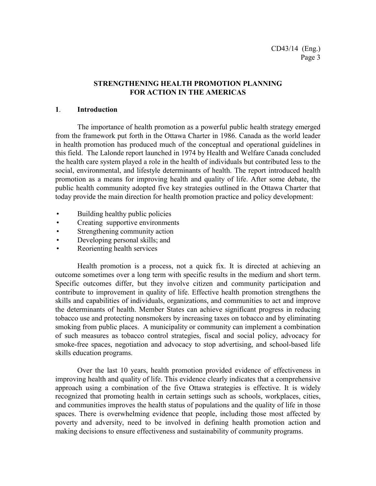## **STRENGTHENING HEALTH PROMOTION PLANNING FOR ACTION IN THE AMERICAS**

### **1**. **Introduction**

The importance of health promotion as a powerful public health strategy emerged from the framework put forth in the Ottawa Charter in 1986. Canada as the world leader in health promotion has produced much of the conceptual and operational guidelines in this field. The Lalonde report launched in 1974 by Health and Welfare Canada concluded the health care system played a role in the health of individuals but contributed less to the social, environmental, and lifestyle determinants of health. The report introduced health promotion as a means for improving health and quality of life. After some debate, the public health community adopted five key strategies outlined in the Ottawa Charter that today provide the main direction for health promotion practice and policy development:

- Building healthy public policies
- Creating supportive environments
- Strengthening community action
- Developing personal skills; and
- Reorienting health services

Health promotion is a process, not a quick fix. It is directed at achieving an outcome sometimes over a long term with specific results in the medium and short term. Specific outcomes differ, but they involve citizen and community participation and contribute to improvement in quality of life. Effective health promotion strengthens the skills and capabilities of individuals, organizations, and communities to act and improve the determinants of health. Member States can achieve significant progress in reducing tobacco use and protecting nonsmokers by increasing taxes on tobacco and by eliminating smoking from public places. A municipality or community can implement a combination of such measures as tobacco control strategies, fiscal and social policy, advocacy for smoke-free spaces, negotiation and advocacy to stop advertising, and school-based life skills education programs.

Over the last 10 years, health promotion provided evidence of effectiveness in improving health and quality of life. This evidence clearly indicates that a comprehensive approach using a combination of the five Ottawa strategies is effective. It is widely recognized that promoting health in certain settings such as schools, workplaces, cities, and communities improves the health status of populations and the quality of life in those spaces. There is overwhelming evidence that people, including those most affected by poverty and adversity, need to be involved in defining health promotion action and making decisions to ensure effectiveness and sustainability of community programs.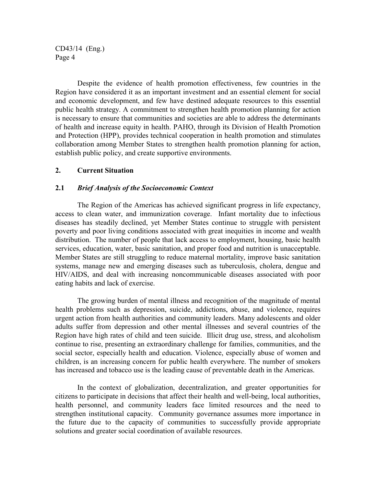Despite the evidence of health promotion effectiveness, few countries in the Region have considered it as an important investment and an essential element for social and economic development, and few have destined adequate resources to this essential public health strategy. A commitment to strengthen health promotion planning for action is necessary to ensure that communities and societies are able to address the determinants of health and increase equity in health. PAHO, through its Division of Health Promotion and Protection (HPP), provides technical cooperation in health promotion and stimulates collaboration among Member States to strengthen health promotion planning for action, establish public policy, and create supportive environments.

#### **2. Current Situation**

#### **2.1** *Brief Analysis of the Socioeconomic Context*

The Region of the Americas has achieved significant progress in life expectancy, access to clean water, and immunization coverage. Infant mortality due to infectious diseases has steadily declined, yet Member States continue to struggle with persistent poverty and poor living conditions associated with great inequities in income and wealth distribution. The number of people that lack access to employment, housing, basic health services, education, water, basic sanitation, and proper food and nutrition is unacceptable. Member States are still struggling to reduce maternal mortality, improve basic sanitation systems, manage new and emerging diseases such as tuberculosis, cholera, dengue and HIV/AIDS, and deal with increasing noncommunicable diseases associated with poor eating habits and lack of exercise.

The growing burden of mental illness and recognition of the magnitude of mental health problems such as depression, suicide, addictions, abuse, and violence, requires urgent action from health authorities and community leaders. Many adolescents and older adults suffer from depression and other mental illnesses and several countries of the Region have high rates of child and teen suicide. Illicit drug use, stress, and alcoholism continue to rise, presenting an extraordinary challenge for families, communities, and the social sector, especially health and education. Violence, especially abuse of women and children, is an increasing concern for public health everywhere. The number of smokers has increased and tobacco use is the leading cause of preventable death in the Americas.

In the context of globalization, decentralization, and greater opportunities for citizens to participate in decisions that affect their health and well-being, local authorities, health personnel, and community leaders face limited resources and the need to strengthen institutional capacity. Community governance assumes more importance in the future due to the capacity of communities to successfully provide appropriate solutions and greater social coordination of available resources.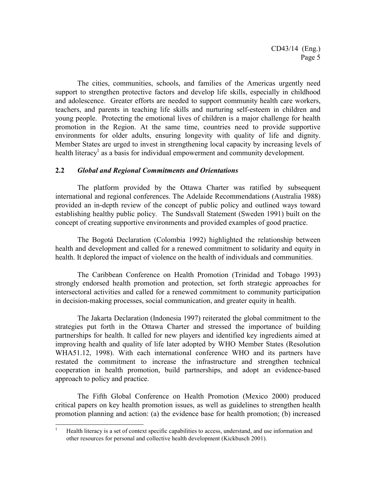The cities, communities, schools, and families of the Americas urgently need support to strengthen protective factors and develop life skills, especially in childhood and adolescence. Greater efforts are needed to support community health care workers, teachers, and parents in teaching life skills and nurturing self-esteem in children and young people. Protecting the emotional lives of children is a major challenge for health promotion in the Region. At the same time, countries need to provide supportive environments for older adults, ensuring longevity with quality of life and dignity. Member States are urged to invest in strengthening local capacity by increasing levels of health literacy<sup>1</sup> as a basis for individual empowerment and community development.

#### **2.2** *Global and Regional Commitments and Orientations*

The platform provided by the Ottawa Charter was ratified by subsequent international and regional conferences. The Adelaide Recommendations (Australia 1988) provided an in-depth review of the concept of public policy and outlined ways toward establishing healthy public policy. The Sundsvall Statement (Sweden 1991) built on the concept of creating supportive environments and provided examples of good practice.

The Bogotá Declaration (Colombia 1992) highlighted the relationship between health and development and called for a renewed commitment to solidarity and equity in health. It deplored the impact of violence on the health of individuals and communities.

The Caribbean Conference on Health Promotion (Trinidad and Tobago 1993) strongly endorsed health promotion and protection, set forth strategic approaches for intersectoral activities and called for a renewed commitment to community participation in decision-making processes, social communication, and greater equity in health.

The Jakarta Declaration (Indonesia 1997) reiterated the global commitment to the strategies put forth in the Ottawa Charter and stressed the importance of building partnerships for health. It called for new players and identified key ingredients aimed at improving health and quality of life later adopted by WHO Member States (Resolution WHA51.12, 1998). With each international conference WHO and its partners have restated the commitment to increase the infrastructure and strengthen technical cooperation in health promotion, build partnerships, and adopt an evidence-based approach to policy and practice.

The Fifth Global Conference on Health Promotion (Mexico 2000) produced critical papers on key health promotion issues, as well as guidelines to strengthen health promotion planning and action: (a) the evidence base for health promotion; (b) increased

 $\frac{1}{1}$  Health literacy is a set of context specific capabilities to access, understand, and use information and other resources for personal and collective health development (Kickbusch 2001).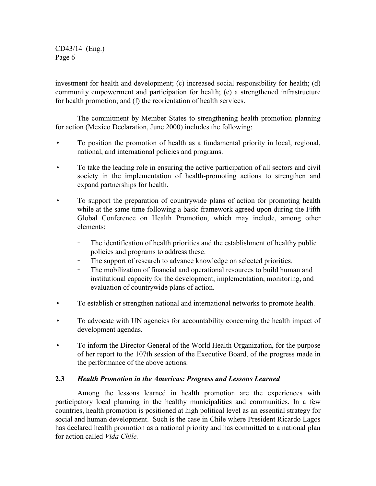investment for health and development; (c) increased social responsibility for health; (d) community empowerment and participation for health; (e) a strengthened infrastructure for health promotion; and (f) the reorientation of health services.

The commitment by Member States to strengthening health promotion planning for action (Mexico Declaration, June 2000) includes the following:

- To position the promotion of health as a fundamental priority in local, regional, national, and international policies and programs.
- To take the leading role in ensuring the active participation of all sectors and civil society in the implementation of health-promoting actions to strengthen and expand partnerships for health.
- To support the preparation of countrywide plans of action for promoting health while at the same time following a basic framework agreed upon during the Fifth Global Conference on Health Promotion, which may include, among other elements:
	- The identification of health priorities and the establishment of healthy public policies and programs to address these.
	- The support of research to advance knowledge on selected priorities.
	- The mobilization of financial and operational resources to build human and institutional capacity for the development, implementation, monitoring, and evaluation of countrywide plans of action.
- To establish or strengthen national and international networks to promote health.
- To advocate with UN agencies for accountability concerning the health impact of development agendas.
- To inform the Director-General of the World Health Organization, for the purpose of her report to the 107th session of the Executive Board, of the progress made in the performance of the above actions.

## **2.3** *Health Promotion in the Americas: Progress and Lessons Learned*

Among the lessons learned in health promotion are the experiences with participatory local planning in the healthy municipalities and communities. In a few countries, health promotion is positioned at high political level as an essential strategy for social and human development. Such is the case in Chile where President Ricardo Lagos has declared health promotion as a national priority and has committed to a national plan for action called *Vida Chile.*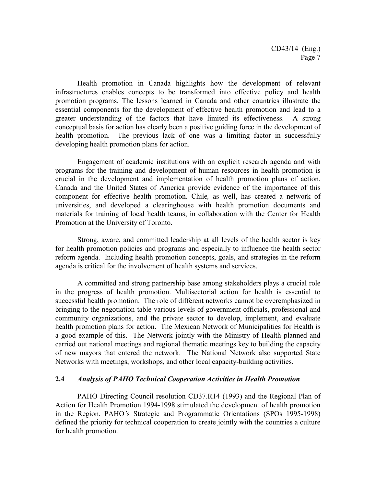Health promotion in Canada highlights how the development of relevant infrastructures enables concepts to be transformed into effective policy and health promotion programs. The lessons learned in Canada and other countries illustrate the essential components for the development of effective health promotion and lead to a greater understanding of the factors that have limited its effectiveness. A strong conceptual basis for action has clearly been a positive guiding force in the development of health promotion. The previous lack of one was a limiting factor in successfully developing health promotion plans for action.

Engagement of academic institutions with an explicit research agenda and with programs for the training and development of human resources in health promotion is crucial in the development and implementation of health promotion plans of action. Canada and the United States of America provide evidence of the importance of this component for effective health promotion. Chile*,* as well, has created a network of universities, and developed a clearinghouse with health promotion documents and materials for training of local health teams, in collaboration with the Center for Health Promotion at the University of Toronto.

Strong, aware, and committed leadership at all levels of the health sector is key for health promotion policies and programs and especially to influence the health sector reform agenda. Including health promotion concepts, goals, and strategies in the reform agenda is critical for the involvement of health systems and services.

A committed and strong partnership base among stakeholders plays a crucial role in the progress of health promotion. Multisectorial action for health is essential to successful health promotion. The role of different networks cannot be overemphasized in bringing to the negotiation table various levels of government officials, professional and community organizations, and the private sector to develop, implement, and evaluate health promotion plans for action. The Mexican Network of Municipalities for Health is a good example of this. The Network jointly with the Ministry of Health planned and carried out national meetings and regional thematic meetings key to building the capacity of new mayors that entered the network. The National Network also supported State Networks with meetings, workshops, and other local capacity-building activities.

#### **2.4** *Analysis of PAHO Technical Cooperation Activities in Health Promotion*

PAHO Directing Council resolution CD37.R14 (1993) and the Regional Plan of Action for Health Promotion 1994-1998 stimulated the development of health promotion in the Region. PAHO*'*s Strategic and Programmatic Orientations (SPOs 1995-1998) defined the priority for technical cooperation to create jointly with the countries a culture for health promotion.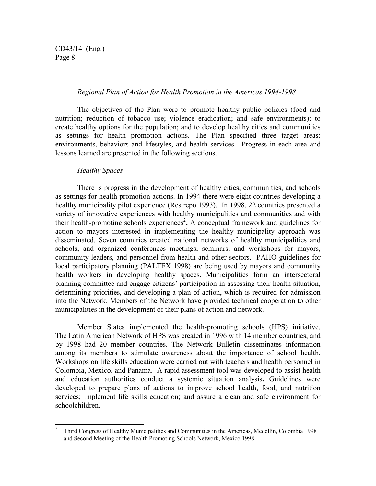#### *Regional Plan of Action for Health Promotion in the Americas 1994-1998*

The objectives of the Plan were to promote healthy public policies (food and nutrition; reduction of tobacco use; violence eradication; and safe environments); to create healthy options for the population; and to develop healthy cities and communities as settings for health promotion actions. The Plan specified three target areas: environments, behaviors and lifestyles, and health services. Progress in each area and lessons learned are presented in the following sections.

#### *Healthy Spaces*

There is progress in the development of healthy cities, communities, and schools as settings for health promotion actions. In 1994 there were eight countries developing a healthy municipality pilot experience (Restrepo 1993). In 1998, 22 countries presented a variety of innovative experiences with healthy municipalities and communities and with their health-promoting schools experiences<sup>2</sup>. A conceptual framework and guidelines for action to mayors interested in implementing the healthy municipality approach was disseminated. Seven countries created national networks of healthy municipalities and schools, and organized conferences meetings, seminars, and workshops for mayors, community leaders, and personnel from health and other sectors. PAHO guidelines for local participatory planning (PALTEX 1998) are being used by mayors and community health workers in developing healthy spaces. Municipalities form an intersectoral planning committee and engage citizens' participation in assessing their health situation, determining priorities, and developing a plan of action, which is required for admission into the Network. Members of the Network have provided technical cooperation to other municipalities in the development of their plans of action and network.

Member States implemented the health-promoting schools (HPS) initiative. The Latin American Network of HPS was created in 1996 with 14 member countries, and by 1998 had 20 member countries. The Network Bulletin disseminates information among its members to stimulate awareness about the importance of school health. Workshops on life skills education were carried out with teachers and health personnel in Colombia, Mexico, and Panama. A rapid assessment tool was developed to assist health and education authorities conduct a systemic situation analysis**.** Guidelines were developed to prepare plans of actions to improve school health, food, and nutrition services; implement life skills education; and assure a clean and safe environment for schoolchildren.

<sup>&</sup>lt;sup>2</sup> Third Congress of Healthy Municipalities and Communities in the Americas, Medellín, Colombia 1998 and Second Meeting of the Health Promoting Schools Network, Mexico 1998.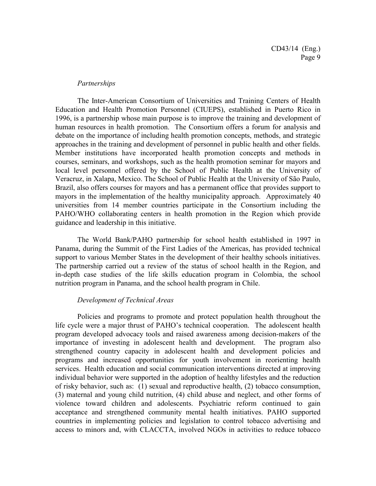#### *Partnerships*

The Inter-American Consortium of Universities and Training Centers of Health Education and Health Promotion Personnel (CIUEPS), established in Puerto Rico in 1996, is a partnership whose main purpose is to improve the training and development of human resources in health promotion. The Consortium offers a forum for analysis and debate on the importance of including health promotion concepts, methods, and strategic approaches in the training and development of personnel in public health and other fields. Member institutions have incorporated health promotion concepts and methods in courses, seminars, and workshops, such as the health promotion seminar for mayors and local level personnel offered by the School of Public Health at the University of Veracruz, in Xalapa, Mexico. The School of Public Health at the University of São Paulo, Brazil, also offers courses for mayors and has a permanent office that provides support to mayors in the implementation of the healthy municipality approach. Approximately 40 universities from 14 member countries participate in the Consortium including the PAHO/WHO collaborating centers in health promotion in the Region which provide guidance and leadership in this initiative.

The World Bank/PAHO partnership for school health established in 1997 in Panama, during the Summit of the First Ladies of the Americas, has provided technical support to various Member States in the development of their healthy schools initiatives. The partnership carried out a review of the status of school health in the Region, and in-depth case studies of the life skills education program in Colombia, the school nutrition program in Panama, and the school health program in Chile.

#### *Development of Technical Areas*

Policies and programs to promote and protect population health throughout the life cycle were a major thrust of PAHO's technical cooperation. The adolescent health program developed advocacy tools and raised awareness among decision-makers of the importance of investing in adolescent health and development. The program also strengthened country capacity in adolescent health and development policies and programs and increased opportunities for youth involvement in reorienting health services. Health education and social communication interventions directed at improving individual behavior were supported in the adoption of healthy lifestyles and the reduction of risky behavior, such as: (1) sexual and reproductive health, (2) tobacco consumption, (3) maternal and young child nutrition, (4) child abuse and neglect, and other forms of violence toward children and adolescents. Psychiatric reform continued to gain acceptance and strengthened community mental health initiatives. PAHO supported countries in implementing policies and legislation to control tobacco advertising and access to minors and, with CLACCTA, involved NGOs in activities to reduce tobacco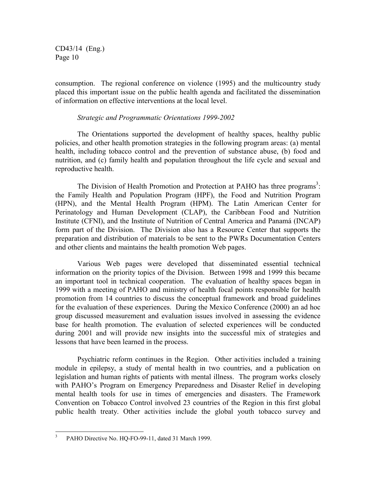consumption. The regional conference on violence (1995) and the multicountry study placed this important issue on the public health agenda and facilitated the dissemination of information on effective interventions at the local level.

#### *Strategic and Programmatic Orientations 1999-2002*

The Orientations supported the development of healthy spaces, healthy public policies, and other health promotion strategies in the following program areas: (a) mental health, including tobacco control and the prevention of substance abuse, (b) food and nutrition, and (c) family health and population throughout the life cycle and sexual and reproductive health.

The Division of Health Promotion and Protection at PAHO has three programs<sup>3</sup>: the Family Health and Population Program (HPF), the Food and Nutrition Program (HPN), and the Mental Health Program (HPM). The Latin American Center for Perinatology and Human Development (CLAP), the Caribbean Food and Nutrition Institute (CFNI), and the Institute of Nutrition of Central America and Panamá (INCAP) form part of the Division. The Division also has a Resource Center that supports the preparation and distribution of materials to be sent to the PWRs Documentation Centers and other clients and maintains the health promotion Web pages.

Various Web pages were developed that disseminated essential technical information on the priority topics of the Division. Between 1998 and 1999 this became an important tool in technical cooperation. The evaluation of healthy spaces began in 1999 with a meeting of PAHO and ministry of health focal points responsible for health promotion from 14 countries to discuss the conceptual framework and broad guidelines for the evaluation of these experiences. During the Mexico Conference (2000) an ad hoc group discussed measurement and evaluation issues involved in assessing the evidence base for health promotion. The evaluation of selected experiences will be conducted during 2001 and will provide new insights into the successful mix of strategies and lessons that have been learned in the process.

Psychiatric reform continues in the Region. Other activities included a training module in epilepsy, a study of mental health in two countries, and a publication on legislation and human rights of patients with mental illness. The program works closely with PAHO's Program on Emergency Preparedness and Disaster Relief in developing mental health tools for use in times of emergencies and disasters. The Framework Convention on Tobacco Control involved 23 countries of the Region in this first global public health treaty. Other activities include the global youth tobacco survey and

 3 PAHO Directive No. HQ-FO-99-11, dated 31 March 1999.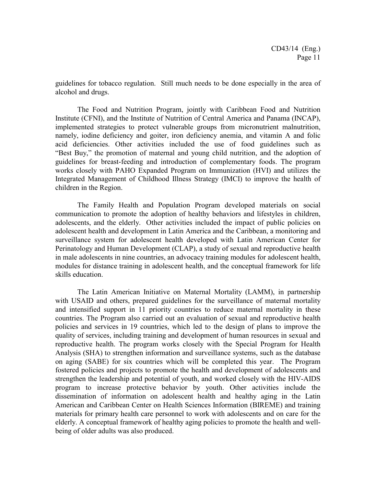guidelines for tobacco regulation. Still much needs to be done especially in the area of alcohol and drugs.

The Food and Nutrition Program, jointly with Caribbean Food and Nutrition Institute (CFNI), and the Institute of Nutrition of Central America and Panama (INCAP), implemented strategies to protect vulnerable groups from micronutrient malnutrition, namely, iodine deficiency and goiter, iron deficiency anemia, and vitamin A and folic acid deficiencies. Other activities included the use of food guidelines such as "Best Buy," the promotion of maternal and young child nutrition, and the adoption of guidelines for breast-feeding and introduction of complementary foods. The program works closely with PAHO Expanded Program on Immunization (HVI) and utilizes the Integrated Management of Childhood Illness Strategy (IMCI) to improve the health of children in the Region.

The Family Health and Population Program developed materials on social communication to promote the adoption of healthy behaviors and lifestyles in children, adolescents, and the elderly. Other activities included the impact of public policies on adolescent health and development in Latin America and the Caribbean, a monitoring and surveillance system for adolescent health developed with Latin American Center for Perinatology and Human Development (CLAP), a study of sexual and reproductive health in male adolescents in nine countries, an advocacy training modules for adolescent health, modules for distance training in adolescent health, and the conceptual framework for life skills education.

The Latin American Initiative on Maternal Mortality (LAMM), in partnership with USAID and others, prepared guidelines for the surveillance of maternal mortality and intensified support in 11 priority countries to reduce maternal mortality in these countries. The Program also carried out an evaluation of sexual and reproductive health policies and services in 19 countries, which led to the design of plans to improve the quality of services, including training and development of human resources in sexual and reproductive health. The program works closely with the Special Program for Health Analysis (SHA) to strengthen information and surveillance systems, such as the database on aging (SABE) for six countries which will be completed this year. The Program fostered policies and projects to promote the health and development of adolescents and strengthen the leadership and potential of youth, and worked closely with the HIV-AIDS program to increase protective behavior by youth. Other activities include the dissemination of information on adolescent health and healthy aging in the Latin American and Caribbean Center on Health Sciences Information (BIREME) and training materials for primary health care personnel to work with adolescents and on care for the elderly. A conceptual framework of healthy aging policies to promote the health and wellbeing of older adults was also produced.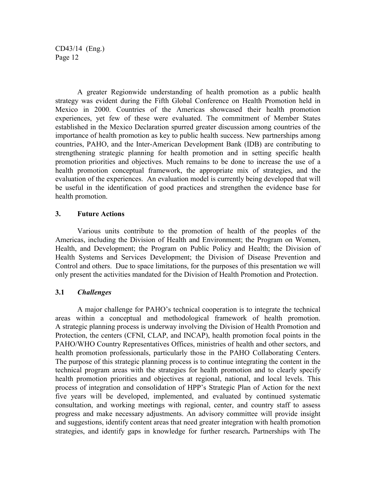A greater Regionwide understanding of health promotion as a public health strategy was evident during the Fifth Global Conference on Health Promotion held in Mexico in 2000. Countries of the Americas showcased their health promotion experiences, yet few of these were evaluated. The commitment of Member States established in the Mexico Declaration spurred greater discussion among countries of the importance of health promotion as key to public health success. New partnerships among countries, PAHO, and the Inter-American Development Bank (IDB) are contributing to strengthening strategic planning for health promotion and in setting specific health promotion priorities and objectives. Much remains to be done to increase the use of a health promotion conceptual framework, the appropriate mix of strategies, and the evaluation of the experiences. An evaluation model is currently being developed that will be useful in the identification of good practices and strengthen the evidence base for health promotion.

#### **3. Future Actions**

Various units contribute to the promotion of health of the peoples of the Americas, including the Division of Health and Environment; the Program on Women, Health, and Development; the Program on Public Policy and Health; the Division of Health Systems and Services Development; the Division of Disease Prevention and Control and others. Due to space limitations, for the purposes of this presentation we will only present the activities mandated for the Division of Health Promotion and Protection.

#### **3.1** *Challenges*

A major challenge for PAHO's technical cooperation is to integrate the technical areas within a conceptual and methodological framework of health promotion. A strategic planning process is underway involving the Division of Health Promotion and Protection, the centers (CFNI, CLAP, and INCAP), health promotion focal points in the PAHO/WHO Country Representatives Offices, ministries of health and other sectors, and health promotion professionals, particularly those in the PAHO Collaborating Centers. The purpose of this strategic planning process is to continue integrating the content in the technical program areas with the strategies for health promotion and to clearly specify health promotion priorities and objectives at regional, national, and local levels. This process of integration and consolidation of HPP's Strategic Plan of Action for the next five years will be developed, implemented, and evaluated by continued systematic consultation, and working meetings with regional, center, and country staff to assess progress and make necessary adjustments. An advisory committee will provide insight and suggestions, identify content areas that need greater integration with health promotion strategies, and identify gaps in knowledge for further research**.** Partnerships with The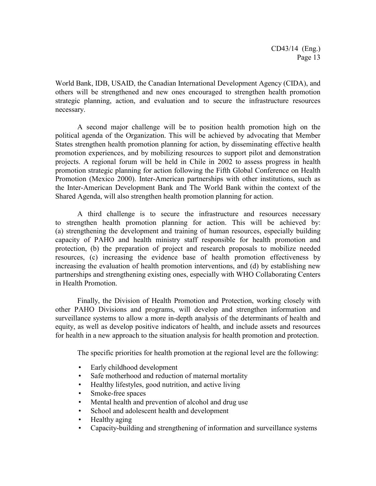World Bank, IDB, USAID, the Canadian International Development Agency (CIDA), and others will be strengthened and new ones encouraged to strengthen health promotion strategic planning, action, and evaluation and to secure the infrastructure resources necessary.

A second major challenge will be to position health promotion high on the political agenda of the Organization. This will be achieved by advocating that Member States strengthen health promotion planning for action, by disseminating effective health promotion experiences, and by mobilizing resources to support pilot and demonstration projects. A regional forum will be held in Chile in 2002 to assess progress in health promotion strategic planning for action following the Fifth Global Conference on Health Promotion (Mexico 2000). Inter-American partnerships with other institutions, such as the Inter-American Development Bank and The World Bank within the context of the Shared Agenda, will also strengthen health promotion planning for action.

A third challenge is to secure the infrastructure and resources necessary to strengthen health promotion planning for action. This will be achieved by: (a) strengthening the development and training of human resources, especially building capacity of PAHO and health ministry staff responsible for health promotion and protection, (b) the preparation of project and research proposals to mobilize needed resources, (c) increasing the evidence base of health promotion effectiveness by increasing the evaluation of health promotion interventions, and (d) by establishing new partnerships and strengthening existing ones, especially with WHO Collaborating Centers in Health Promotion.

Finally, the Division of Health Promotion and Protection, working closely with other PAHO Divisions and programs, will develop and strengthen information and surveillance systems to allow a more in-depth analysis of the determinants of health and equity, as well as develop positive indicators of health, and include assets and resources for health in a new approach to the situation analysis for health promotion and protection.

The specific priorities for health promotion at the regional level are the following:

- Early childhood development
- Safe motherhood and reduction of maternal mortality
- Healthy lifestyles, good nutrition, and active living
- Smoke-free spaces
- Mental health and prevention of alcohol and drug use
- School and adolescent health and development
- Healthy aging
- Capacity-building and strengthening of information and surveillance systems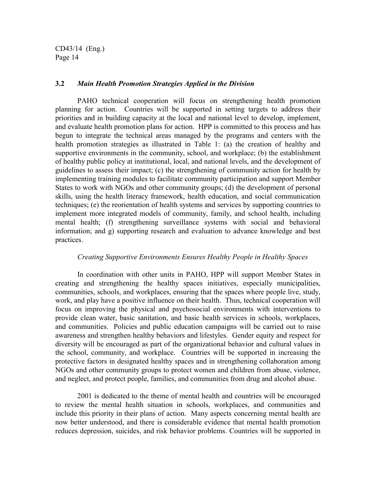#### **3.2** *Main Health Promotion Strategies Applied in the Division*

PAHO technical cooperation will focus on strengthening health promotion planning for action. Countries will be supported in setting targets to address their priorities and in building capacity at the local and national level to develop, implement, and evaluate health promotion plans for action. HPP is committed to this process and has begun to integrate the technical areas managed by the programs and centers with the health promotion strategies as illustrated in Table 1: (a) the creation of healthy and supportive environments in the community, school, and workplace; (b) the establishment of healthy public policy at institutional, local, and national levels, and the development of guidelines to assess their impact; (c) the strengthening of community action for health by implementing training modules to facilitate community participation and support Member States to work with NGOs and other community groups; (d) the development of personal skills, using the health literacy framework, health education, and social communication techniques; (e) the reorientation of health systems and services by supporting countries to implement more integrated models of community, family, and school health, including mental health; (f) strengthening surveillance systems with social and behavioral information; and g) supporting research and evaluation to advance knowledge and best practices.

#### *Creating Supportive Environments Ensures Healthy People in Healthy Spaces*

In coordination with other units in PAHO, HPP will support Member States in creating and strengthening the healthy spaces initiatives, especially municipalities, communities, schools, and workplaces, ensuring that the spaces where people live, study, work, and play have a positive influence on their health. Thus, technical cooperation will focus on improving the physical and psychosocial environments with interventions to provide clean water, basic sanitation, and basic health services in schools, workplaces, and communities. Policies and public education campaigns will be carried out to raise awareness and strengthen healthy behaviors and lifestyles. Gender equity and respect for diversity will be encouraged as part of the organizational behavior and cultural values in the school, community, and workplace. Countries will be supported in increasing the protective factors in designated healthy spaces and in strengthening collaboration among NGOs and other community groups to protect women and children from abuse, violence, and neglect, and protect people, families, and communities from drug and alcohol abuse.

2001 is dedicated to the theme of mental health and countries will be encouraged to review the mental health situation in schools, workplaces, and communities and include this priority in their plans of action. Many aspects concerning mental health are now better understood, and there is considerable evidence that mental health promotion reduces depression, suicides, and risk behavior problems. Countries will be supported in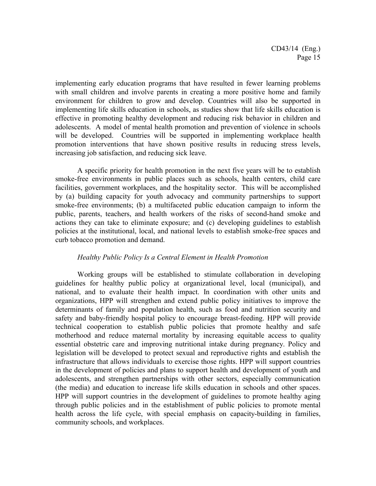implementing early education programs that have resulted in fewer learning problems with small children and involve parents in creating a more positive home and family environment for children to grow and develop. Countries will also be supported in implementing life skills education in schools, as studies show that life skills education is effective in promoting healthy development and reducing risk behavior in children and adolescents. A model of mental health promotion and prevention of violence in schools will be developed. Countries will be supported in implementing workplace health promotion interventions that have shown positive results in reducing stress levels, increasing job satisfaction, and reducing sick leave.

A specific priority for health promotion in the next five years will be to establish smoke-free environments in public places such as schools, health centers, child care facilities, government workplaces, and the hospitality sector. This will be accomplished by (a) building capacity for youth advocacy and community partnerships to support smoke-free environments; (b) a multifaceted public education campaign to inform the public, parents, teachers, and health workers of the risks of second-hand smoke and actions they can take to eliminate exposure; and (c) developing guidelines to establish policies at the institutional, local, and national levels to establish smoke-free spaces and curb tobacco promotion and demand.

#### *Healthy Public Policy Is a Central Element in Health Promotion*

Working groups will be established to stimulate collaboration in developing guidelines for healthy public policy at organizational level, local (municipal), and national, and to evaluate their health impact. In coordination with other units and organizations, HPP will strengthen and extend public policy initiatives to improve the determinants of family and population health, such as food and nutrition security and safety and baby-friendly hospital policy to encourage breast-feeding. HPP will provide technical cooperation to establish public policies that promote healthy and safe motherhood and reduce maternal mortality by increasing equitable access to quality essential obstetric care and improving nutritional intake during pregnancy. Policy and legislation will be developed to protect sexual and reproductive rights and establish the infrastructure that allows individuals to exercise those rights. HPP will support countries in the development of policies and plans to support health and development of youth and adolescents, and strengthen partnerships with other sectors, especially communication (the media) and education to increase life skills education in schools and other spaces. HPP will support countries in the development of guidelines to promote healthy aging through public policies and in the establishment of public policies to promote mental health across the life cycle, with special emphasis on capacity-building in families, community schools, and workplaces.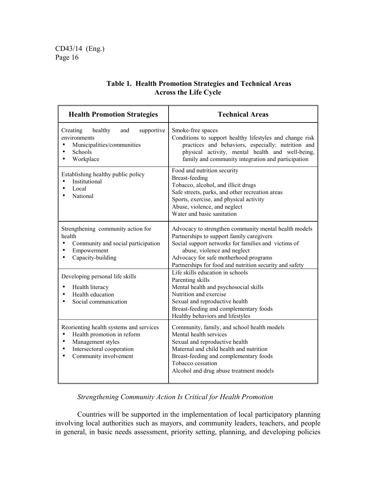| <b>Health Promotion Strategies</b>                                                                                                                                                                                                 | <b>Technical Areas</b>                                                                                                                                                                                                                                                                                                                                                                                                                                                                                                                  |  |  |
|------------------------------------------------------------------------------------------------------------------------------------------------------------------------------------------------------------------------------------|-----------------------------------------------------------------------------------------------------------------------------------------------------------------------------------------------------------------------------------------------------------------------------------------------------------------------------------------------------------------------------------------------------------------------------------------------------------------------------------------------------------------------------------------|--|--|
| healthy<br>Creating<br>supportive<br>and<br>environments<br>Municipalities/communities<br>Schools<br>Workplace                                                                                                                     | Smoke-free spaces<br>Conditions to support healthy lifestyles and change risk<br>practices and behaviors, especially: nutrition and<br>physical activity, mental health and well-being,<br>family and community integration and participation                                                                                                                                                                                                                                                                                           |  |  |
| Establishing healthy public policy<br>Institutional<br>Local<br>National                                                                                                                                                           | Food and nutrition security<br><b>Breast-feeding</b><br>Tobacco, alcohol, and illicit drugs<br>Safe streets, parks, and other recreation areas<br>Sports, exercise, and physical activity<br>Abuse, violence, and neglect<br>Water and basic sanitation                                                                                                                                                                                                                                                                                 |  |  |
| Strengthening community action for<br>health<br>Community and social participation<br>٠<br>Empowerment<br>٠<br>Capacity-building<br>Developing personal life skills<br>Health literacy<br>Health education<br>Social communication | Advocacy to strengthen community mental health models<br>Partnerships to support family caregivers<br>Social support networks for families and victims of<br>abuse, violence and neglect<br>Advocacy for safe motherhood programs<br>Partnerships for food and nutrition security and safety<br>Life skills education in schools<br>Parenting skills<br>Mental health and psychosocial skills<br>Nutrition and exercise<br>Sexual and reproductive health<br>Breast-feeding and complementary foods<br>Healthy behaviors and lifestyles |  |  |
| Reorienting health systems and services<br>Health promotion in reform<br>Management styles<br>Intersectoral cooperation<br>Community involvement                                                                                   | Community, family, and school health models<br>Mental health services<br>Sexual and reproductive health<br>Maternal and child health and nutrition<br>Breast-feeding and complementary foods<br>Tobacco cessation<br>Alcohol and drug abuse treatment models                                                                                                                                                                                                                                                                            |  |  |

# **Table 1. Health Promotion Strategies and Technical Areas Across the Life Cycle**

# *Strengthening Community Action Is Critical for Health Promotion*

Countries will be supported in the implementation of local participatory planning involving local authorities such as mayors, and community leaders, teachers, and people in general, in basic needs assessment, priority setting, planning, and developing policies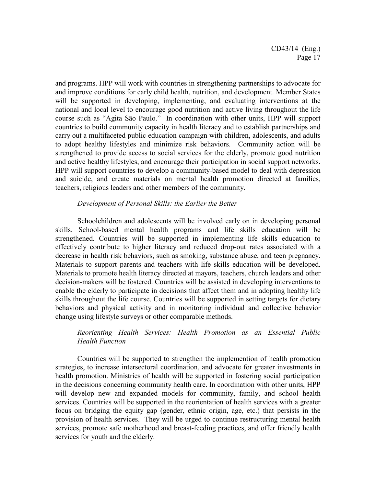and programs. HPP will work with countries in strengthening partnerships to advocate for and improve conditions for early child health, nutrition, and development. Member States will be supported in developing, implementing, and evaluating interventions at the national and local level to encourage good nutrition and active living throughout the life course such as "Agita São Paulo." In coordination with other units, HPP will support countries to build community capacity in health literacy and to establish partnerships and carry out a multifaceted public education campaign with children, adolescents, and adults to adopt healthy lifestyles and minimize risk behaviors. Community action will be strengthened to provide access to social services for the elderly, promote good nutrition and active healthy lifestyles, and encourage their participation in social support networks. HPP will support countries to develop a community-based model to deal with depression and suicide, and create materials on mental health promotion directed at families, teachers, religious leaders and other members of the community.

#### *Development of Personal Skills: the Earlier the Better*

Schoolchildren and adolescents will be involved early on in developing personal skills. School-based mental health programs and life skills education will be strengthened. Countries will be supported in implementing life skills education to effectively contribute to higher literacy and reduced drop-out rates associated with a decrease in health risk behaviors, such as smoking, substance abuse, and teen pregnancy. Materials to support parents and teachers with life skills education will be developed. Materials to promote health literacy directed at mayors, teachers, church leaders and other decision-makers will be fostered. Countries will be assisted in developing interventions to enable the elderly to participate in decisions that affect them and in adopting healthy life skills throughout the life course. Countries will be supported in setting targets for dietary behaviors and physical activity and in monitoring individual and collective behavior change using lifestyle surveys or other comparable methods.

#### *Reorienting Health Services: Health Promotion as an Essential Public Health Function*

Countries will be supported to strengthen the implemention of health promotion strategies, to increase intersectoral coordination, and advocate for greater investments in health promotion. Ministries of health will be supported in fostering social participation in the decisions concerning community health care. In coordination with other units, HPP will develop new and expanded models for community, family, and school health services. Countries will be supported in the reorientation of health services with a greater focus on bridging the equity gap (gender, ethnic origin, age, etc.) that persists in the provision of health services. They will be urged to continue restructuring mental health services, promote safe motherhood and breast-feeding practices, and offer friendly health services for youth and the elderly.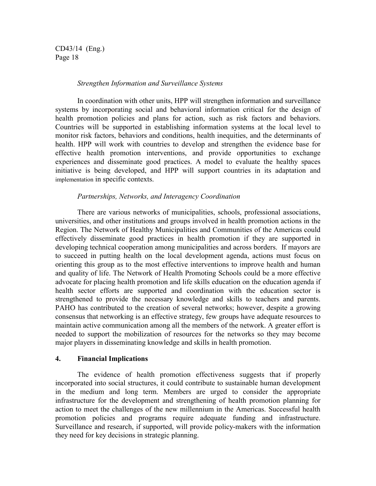#### *Strengthen Information and Surveillance Systems*

In coordination with other units, HPP will strengthen information and surveillance systems by incorporating social and behavioral information critical for the design of health promotion policies and plans for action, such as risk factors and behaviors. Countries will be supported in establishing information systems at the local level to monitor risk factors, behaviors and conditions, health inequities, and the determinants of health. HPP will work with countries to develop and strengthen the evidence base for effective health promotion interventions, and provide opportunities to exchange experiences and disseminate good practices. A model to evaluate the healthy spaces initiative is being developed, and HPP will support countries in its adaptation and implementation in specific contexts.

#### *Partnerships, Networks, and Interagency Coordination*

There are various networks of municipalities, schools, professional associations, universities, and other institutions and groups involved in health promotion actions in the Region. The Network of Healthy Municipalities and Communities of the Americas could effectively disseminate good practices in health promotion if they are supported in developing technical cooperation among municipalities and across borders. If mayors are to succeed in putting health on the local development agenda, actions must focus on orienting this group as to the most effective interventions to improve health and human and quality of life. The Network of Health Promoting Schools could be a more effective advocate for placing health promotion and life skills education on the education agenda if health sector efforts are supported and coordination with the education sector is strengthened to provide the necessary knowledge and skills to teachers and parents. PAHO has contributed to the creation of several networks; however, despite a growing consensus that networking is an effective strategy, few groups have adequate resources to maintain active communication among all the members of the network. A greater effort is needed to support the mobilization of resources for the networks so they may become major players in disseminating knowledge and skills in health promotion.

#### **4. Financial Implications**

The evidence of health promotion effectiveness suggests that if properly incorporated into social structures, it could contribute to sustainable human development in the medium and long term. Members are urged to consider the appropriate infrastructure for the development and strengthening of health promotion planning for action to meet the challenges of the new millennium in the Americas. Successful health promotion policies and programs require adequate funding and infrastructure. Surveillance and research, if supported, will provide policy-makers with the information they need for key decisions in strategic planning.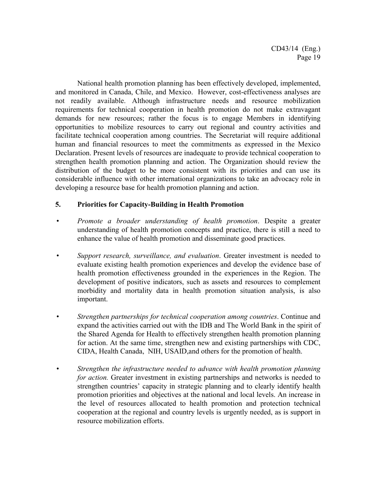National health promotion planning has been effectively developed, implemented, and monitored in Canada, Chile, and Mexico. However, cost-effectiveness analyses are not readily available. Although infrastructure needs and resource mobilization requirements for technical cooperation in health promotion do not make extravagant demands for new resources; rather the focus is to engage Members in identifying opportunities to mobilize resources to carry out regional and country activities and facilitate technical cooperation among countries. The Secretariat will require additional human and financial resources to meet the commitments as expressed in the Mexico Declaration. Present levels of resources are inadequate to provide technical cooperation to strengthen health promotion planning and action. The Organization should review the distribution of the budget to be more consistent with its priorities and can use its considerable influence with other international organizations to take an advocacy role in developing a resource base for health promotion planning and action.

#### **5. Priorities for Capacity-Building in Health Promotion**

- *Promote a broader understanding of health promotion*. Despite a greater understanding of health promotion concepts and practice, there is still a need to enhance the value of health promotion and disseminate good practices.
- *Support research, surveillance, and evaluation*. Greater investment is needed to evaluate existing health promotion experiences and develop the evidence base of health promotion effectiveness grounded in the experiences in the Region. The development of positive indicators, such as assets and resources to complement morbidity and mortality data in health promotion situation analysis, is also important.
- *Strengthen partnerships for technical cooperation among countries*. Continue and expand the activities carried out with the IDB and The World Bank in the spirit of the Shared Agenda for Health to effectively strengthen health promotion planning for action. At the same time, strengthen new and existing partnerships with CDC, CIDA, Health Canada, NIH, USAID,and others for the promotion of health.
- *Strengthen the infrastructure needed to advance with health promotion planning for action.* Greater investment in existing partnerships and networks is needed to strengthen countries' capacity in strategic planning and to clearly identify health promotion priorities and objectives at the national and local levels. An increase in the level of resources allocated to health promotion and protection technical cooperation at the regional and country levels is urgently needed, as is support in resource mobilization efforts.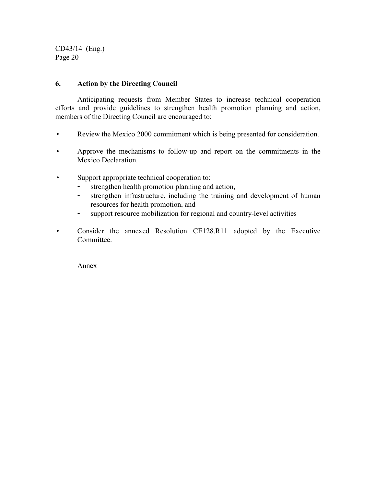#### **6. Action by the Directing Council**

Anticipating requests from Member States to increase technical cooperation efforts and provide guidelines to strengthen health promotion planning and action, members of the Directing Council are encouraged to:

- Review the Mexico 2000 commitment which is being presented for consideration.
- Approve the mechanisms to follow-up and report on the commitments in the Mexico Declaration.
- Support appropriate technical cooperation to:
	- strengthen health promotion planning and action,
	- strengthen infrastructure, including the training and development of human resources for health promotion, and
	- support resource mobilization for regional and country-level activities
- Consider the annexed Resolution CE128.R11 adopted by the Executive Committee.

Annex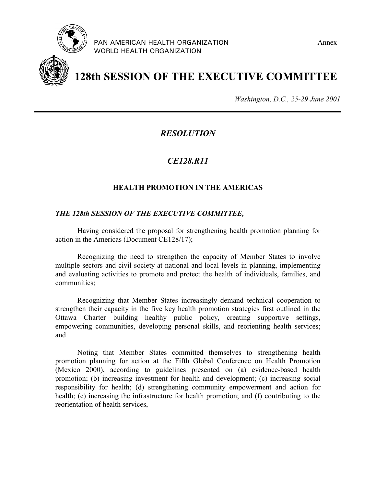

PAN AMERICAN HEALTH ORGANIZATION **Annex** WORLD HEALTH ORGANIZATION



# **128th SESSION OF THE EXECUTIVE COMMITTEE**

*Washington, D.C., 25-29 June 2001*

*RESOLUTION*

# *CE128.R11*

# **HEALTH PROMOTION IN THE AMERICAS**

#### *THE 128th SESSION OF THE EXECUTIVE COMMITTEE,*

Having considered the proposal for strengthening health promotion planning for action in the Americas (Document CE128/17);

Recognizing the need to strengthen the capacity of Member States to involve multiple sectors and civil society at national and local levels in planning, implementing and evaluating activities to promote and protect the health of individuals, families, and communities;

Recognizing that Member States increasingly demand technical cooperation to strengthen their capacity in the five key health promotion strategies first outlined in the Ottawa Charter—building healthy public policy, creating supportive settings, empowering communities, developing personal skills, and reorienting health services; and

Noting that Member States committed themselves to strengthening health promotion planning for action at the Fifth Global Conference on Health Promotion (Mexico 2000), according to guidelines presented on (a) evidence-based health promotion; (b) increasing investment for health and development; (c) increasing social responsibility for health; (d) strengthening community empowerment and action for health; (e) increasing the infrastructure for health promotion; and (f) contributing to the reorientation of health services,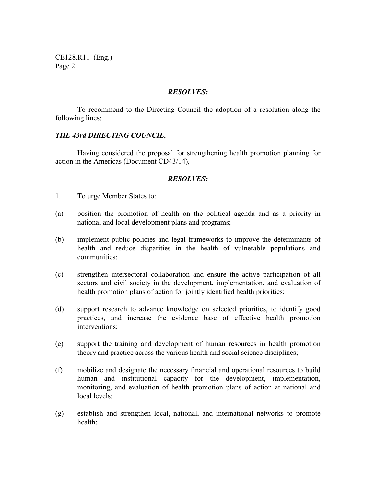CE128.R11 (Eng.) Page 2

#### *RESOLVES:*

To recommend to the Directing Council the adoption of a resolution along the following lines:

#### *THE 43rd DIRECTING COUNCIL*,

Having considered the proposal for strengthening health promotion planning for action in the Americas (Document CD43/14),

#### *RESOLVES:*

- 1. To urge Member States to:
- (a) position the promotion of health on the political agenda and as a priority in national and local development plans and programs;
- (b) implement public policies and legal frameworks to improve the determinants of health and reduce disparities in the health of vulnerable populations and communities;
- (c) strengthen intersectoral collaboration and ensure the active participation of all sectors and civil society in the development, implementation, and evaluation of health promotion plans of action for jointly identified health priorities;
- (d) support research to advance knowledge on selected priorities, to identify good practices, and increase the evidence base of effective health promotion interventions;
- (e) support the training and development of human resources in health promotion theory and practice across the various health and social science disciplines;
- (f) mobilize and designate the necessary financial and operational resources to build human and institutional capacity for the development, implementation, monitoring, and evaluation of health promotion plans of action at national and local levels;
- (g) establish and strengthen local, national, and international networks to promote health;